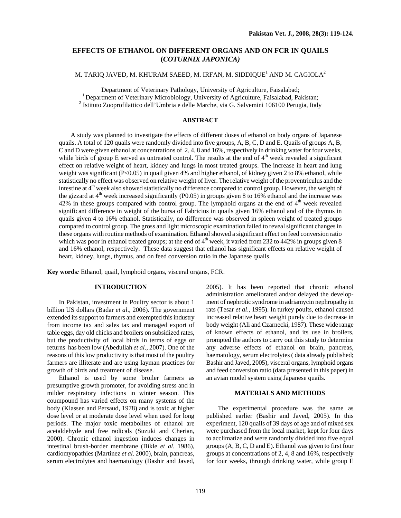# **EFFECTS OF ETHANOL ON DIFFERENT ORGANS AND ON FCR IN QUAILS (***COTURNIX JAPONICA)*

## M. TARIQ JAVED, M. KHURAM SAEED, M. IRFAN, M. SIDDIQUE $^{\rm l}$  AND M. CAGIOLA $^{\rm 2}$

Department of Veterinary Pathology, University of Agriculture, Faisalabad; 1 Department of Veterinary Microbiology, University of Agriculture, Faisalabad, Pakistan; 2

<sup>2</sup> Istituto Zooprofilattico dell'Umbria e delle Marche, via G. Salvemini 106100 Perugia, Italy

## **ABSTRACT**

 A study was planned to investigate the effects of different doses of ethanol on body organs of Japanese quails. A total of 120 quails were randomly divided into five groups, A, B, C, D and E. Quails of groups A, B, C and D were given ethanol at concentrations of 2, 4, 8 and 16%, respectively in drinking water for four weeks, while birds of group E served as untreated control. The results at the end of  $4<sup>th</sup>$  week revealed a significant effect on relative weight of heart, kidney and lungs in most treated groups. The increase in heart and lung weight was significant (P<0.05) in quail given 4% and higher ethanol, of kidney given 2 to 8% ethanol, while statistically no effect was observed on relative weight of liver. The relative weight of the proventriculus and the intestine at  $4<sup>th</sup>$  week also showed statistically no difference compared to control group. However, the weight of the gizzard at  $4<sup>th</sup>$  week increased significantly (P0.05) in groups given 8 to 16% ethanol and the increase was  $42\%$  in these groups compared with control group. The lymphoid organs at the end of  $4<sup>th</sup>$  week revealed significant difference in weight of the bursa of Fabricius in quails given 16% ethanol and of the thymus in quails given 4 to 16% ethanol. Statistically, no difference was observed in spleen weight of treated groups compared to control group. The gross and light microscopic examination failed to reveal significant changes in these organs with routine methods of examination. Ethanol showed a significant effect on feed conversion ratio which was poor in ethanol treated groups; at the end of  $4<sup>th</sup>$  week, it varied from 232 to 442% in groups given 8 and 16% ethanol, respectively. These data suggest that ethanol has significant effects on relative weight of heart, kidney, lungs, thymus, and on feed conversion ratio in the Japanese quails.

**Key words***:* Ethanol, quail, lymphoid organs, visceral organs, FCR.

## **INTRODUCTION**

In Pakistan, investment in Poultry sector is about 1 billion US dollars (Badar *et al*., 2006). The government extended its support to farmers and exempted this industry from income tax and sales tax and managed export of table eggs, day old chicks and broilers on subsidized rates, but the productivity of local birds in terms of eggs or returns has been low (Abedullah *et al*., 2007). One of the reasons of this low productivity is that most of the poultry farmers are illiterate and are using layman practices for growth of birds and treatment of disease.

 Ethanol is used by some broiler farmers as presumptive growth promoter, for avoiding stress and in milder respiratory infections in winter season. This coumpound has varied effects on many systems of the body (Klassen and Persaud, 1978) and is toxic at higher dose level or at moderate dose level when used for long periods. The major toxic metabolites of ethanol are acetaldehyde and free radicals (Suzuki and Cherian, 2000). Chronic ethanol ingestion induces changes in intestinal brush-border membrane (Bikle *et al*. 1986), cardiomyopathies (Martinez *et al*. 2000), brain, pancreas, serum electrolytes and haematology (Bashir and Javed, 2005). It has been reported that chronic ethanol administration ameliorated and/or delayed the development of nephrotic syndrome in adriamycin nephropathy in rats (Tesar *et al*., 1995). In turkey poults, ethanol caused increased relative heart weight purely due to decrease in body weight (Ali and Czarnecki, 1987). These wide range of known effects of ethanol, and its use in broilers, prompted the authors to carry out this study to determine any adverse effects of ethanol on brain, pancreas, haematology, serum electrolytes ( data already published; Bashir and Javed, 2005), visceral organs, lymphoid organs and feed conversion ratio (data presented in this paper) in an avian model system using Japanese quails.

### **MATERIALS AND METHODS**

 The experimental procedure was the same as published earlier (Bashir and Javed, 2005). In this experiment, 120 quails of 39 days of age and of mixed sex were purchased from the local market, kept for four days to acclimatize and were randomly divided into five equal groups (A, B, C, D and E). Ethanol was given to first four groups at concentrations of 2, 4, 8 and 16%, respectively for four weeks, through drinking water, while group E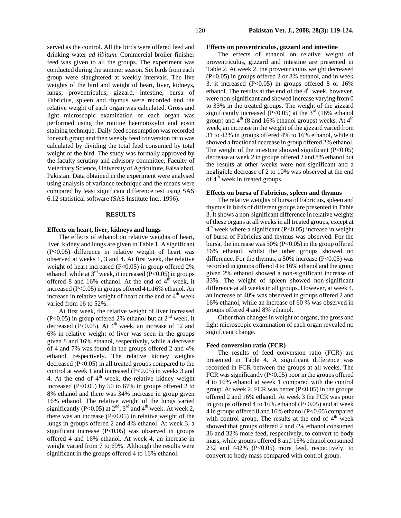served as the control. All the birds were offered feed and drinking water *ad libitum*. Commercial broiler finisher feed was given to all the groups. The experiment was conducted during the summer season. Six birds from each group were slaughtered at weekly intervals. The live weights of the bird and weight of heart, liver, kidneys, lungs, proventriculus, gizzard, intestine, bursa of Fabricius, spleen and thymus were recorded and the relative weight of each organ was calculated. Gross and light microscopic examination of each organ was performed using the routine haemotoxylin and eosin staining technique. Daily feed consumption was recorded for each group and then weekly feed conversion ratio was calculated by dividing the total feed consumed by total weight of the bird. The study was formally approved by the faculty scrutiny and advisory committee, Faculty of Veterinary Science, University of Agriculture, Faisalabad, Pakistan. Data obtained in the experiment were analysed using analysis of variance technique and the means were compared by least significant difference test using SAS 6.12 statistical software (SAS Institute Inc., 1996).

#### **RESULTS**

#### **Effects on heart, liver, kidneys and lungs**

 The effects of ethanol on relative weights of heart, liver, kidney and lungs are given in Table 1. A significant (P<0.05) difference in relative weight of heart was observed at weeks 1, 3 and 4. At first week, the relative weight of heart increased  $(P<0.05)$  in group offered 2% ethanol, while at  $3<sup>rd</sup>$  week, it increased (P<0.05) in groups offered 8 and 16% ethanol. At the end of  $4<sup>th</sup>$  week, it increased (P<0.05) in groups offered 4 to16% ethanol. An increase in relative weight of heart at the end of  $4<sup>th</sup>$  week varied from 16 to 52%.

 At first week, the relative weight of liver increased (P<0.05) in group offered 2% ethanol but at  $2<sup>nd</sup>$  week, it decreased ( $P < 0.05$ ). At  $4<sup>th</sup>$  week, an increase of 12 and 6% in relative weight of liver was seen in the groups given 8 and 16% ethanol, respectively, while a decrease of 4 and 7% was found in the groups offered 2 and 4% ethanol, respectively. The relative kidney weights decreased (P<0.05) in all treated groups compared to the control at week 1 and increased (P<0.05) in weeks 3 and 4. At the end of  $4<sup>th</sup>$  week, the relative kidney weight increased (P<0.05) by 50 to 67% in groups offered 2 to 8% ethanol and there was 34% increase in group given 16% ethanol. The relative weight of the lungs varied significantly (P<0.05) at  $2<sup>nd</sup>$ ,  $3<sup>rd</sup>$  and  $4<sup>th</sup>$  week. At week 2, there was an increase  $(P<0.05)$  in relative weight of the lungs in groups offered 2 and 4% ethanol. At week 3, a significant increase (P<0.05) was observed in groups offered 4 and 16% ethanol. At week 4, an increase in weight varied from 7 to 69%. Although the results were significant in the groups offered 4 to 16% ethanol.

### **Effects on proventriculus, gizzard and intestine**

 The effects of ethanol on relative weight of proventriculus, gizzard and intestine are presented in Table 2. At week 2, the proventriculus weight decreased (P<0.05) in groups offered 2 or 8% ethanol, and in week 3, it increased  $(P<0.05)$  in groups offered 8 or 16% ethanol. The results at the end of the 4<sup>th</sup> week, however, were non-significant and showed increase varying from 0 to 33% in the treated groups. The weight of the gizzard significantly increased (P<0.05) at the  $3<sup>rd</sup>$  (16% ethanol group) and  $4<sup>th</sup>$  (8 and 16% ethanol groups) weeks. At  $4<sup>th</sup>$ week, an increase in the weight of the gizzard varied from 31 to 42% in groups offered 4% to 16% ethanol, while it showed a fractional decrease in group offered 2% ethanol. The weight of the intestine showed significant  $(P<0.05)$ decrease at week 2 in groups offered 2 and 8% ethanol but the results at other weeks were non-significant and a negligible decrease of 2 to 10% was observed at the end of  $4<sup>th</sup>$  week in treated groups.

#### **Effects on bursa of Fabricius, spleen and thymus**

 The relative weights of bursa of Fabricius, spleen and thymus in birds of different groups are presented in Table 3. It shows a non-significant difference in relative weights of these organs at all weeks in all treated groups, except at  $4<sup>th</sup>$  week where a significant (P<0.05) increase in weight of bursa of Fabricius and thymus was observed. For the bursa, the increase was 50% (P<0.05) in the group offered 16% ethanol, whilst the other groups showed no difference. For the thymus, a 50% increase  $(P<0.05)$  was recorded in groups offered 4 to 16% ethanol and the group given 2% ethanol showed a non-significant increase of 33%. The weight of spleen showed non-significant difference at all weeks in all groups. However, at week 4, an increase of 40% was observed in groups offered 2 and 16% ethanol, while an increase of 60 % was observed in groups offered 4 and 8% ethanol.

Other than changes in weight of organs, the gross and light microscopic examination of each organ revealed no significant change.

#### **Feed conversion ratio (FCR)**

 The results of feed conversion ratio (FCR) are presented in Table 4. A significant difference was recorded in FCR between the groups at all weeks. The FCR was significantly (P<0.05) poor in the groups offered 4 to 16% ethanol at week 1 compared with the control group. At week 2, FCR was better  $(P<0.05)$  in the groups offered 2 and 16% ethanol. At week 3 the FCR was poor in groups offered 4 to  $16\%$  ethanol (P<0.05) and at week 4 in groups offered 8 and 16% ethanol (P<0.05) compared with control group. The results at the end of  $4<sup>th</sup>$  week showed that groups offered 2 and 4% ethanol consumed 36 and 32% more feed, respectively, to convert to body mass, while groups offered 8 and 16% ethanol consumed 232 and 442% (P<0.05) more feed, respectively, to convert to body mass compared with control group.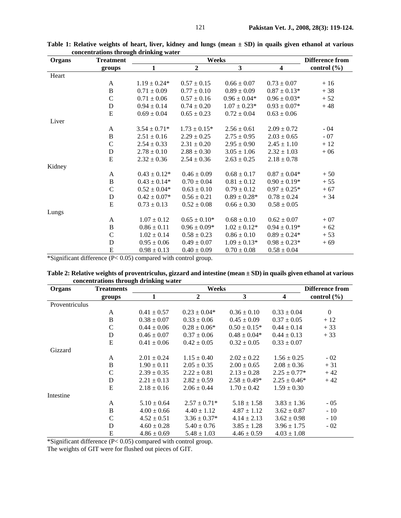| Organs | <b>Treatment</b> |                   | <b>Difference from</b> |                  |                         |                 |
|--------|------------------|-------------------|------------------------|------------------|-------------------------|-----------------|
|        | groups           | $\mathbf{1}$      | $\boldsymbol{2}$       | 3                | $\overline{\mathbf{4}}$ | control $(\% )$ |
| Heart  |                  |                   |                        |                  |                         |                 |
|        | A                | $1.19 \pm 0.24*$  | $0.57 \pm 0.15$        | $0.66 \pm 0.07$  | $0.73 \pm 0.07$         | $+16$           |
|        | $\, {\bf B}$     | $0.71 \pm 0.09$   | $0.77 \pm 0.10$        | $0.89 \pm 0.09$  | $0.87 \pm 0.13*$        | $+38$           |
|        | $\mathsf{C}$     | $0.71 \pm 0.06$   | $0.57 \pm 0.16$        | $0.96 \pm 0.04*$ | $0.96 \pm 0.03*$        | $+52$           |
|        | $\mathbf D$      | $0.94 \pm 0.14$   | $0.74 \pm 0.20$        | $1.07 \pm 0.23*$ | $0.93 \pm 0.07*$        | $+48$           |
|        | E                | $0.69 \pm 0.04$   | $0.65 \pm 0.23$        | $0.72 \pm 0.04$  | $0.63 \pm 0.06$         |                 |
| Liver  |                  |                   |                        |                  |                         |                 |
|        | A                | $3.54 \pm 0.71*$  | $1.73 \pm 0.15^*$      | $2.56 \pm 0.61$  | $2.09 \pm 0.72$         | $-04$           |
|        | $\, {\bf B}$     | $2.51 \pm 0.16$   | $2.29 \pm 0.25$        | $2.75 \pm 0.95$  | $2.03 \pm 0.65$         | $-07$           |
|        | $\mathsf{C}$     | $2.54 \pm 0.33$   | $2.31 \pm 0.20$        | $2.95 \pm 0.90$  | $2.45 \pm 1.10$         | $+12$           |
|        | D                | $2.78 \pm 0.10$   | $2.88 \pm 0.30$        | $3.05 \pm 1.06$  | $2.32 \pm 1.03$         | $+06$           |
|        | E                | $2.32 \pm 0.36$   | $2.54 \pm 0.36$        | $2.63 \pm 0.25$  | $2.18 \pm 0.78$         |                 |
| Kidney |                  |                   |                        |                  |                         |                 |
|        | A                | $0.43 \pm 0.12^*$ | $0.46 \pm 0.09$        | $0.68 \pm 0.17$  | $0.87 \pm 0.04*$        | $+50$           |
|        | $\, {\bf B}$     | $0.43 \pm 0.14*$  | $0.70 \pm 0.04$        | $0.81 \pm 0.12$  | $0.90 \pm 0.19*$        | $+55$           |
|        | $\mathcal{C}$    | $0.52 \pm 0.04*$  | $0.63 \pm 0.10$        | $0.79 \pm 0.12$  | $0.97 \pm 0.25*$        | $+67$           |
|        | D                | $0.42 \pm 0.07*$  | $0.56 \pm 0.21$        | $0.89 \pm 0.28*$ | $0.78 \pm 0.24$         | $+34$           |
|        | E                | $0.73 \pm 0.13$   | $0.52 \pm 0.08$        | $0.66 \pm 0.30$  | $0.58 \pm 0.05$         |                 |
| Lungs  |                  |                   |                        |                  |                         |                 |
|        | A                | $1.07 \pm 0.12$   | $0.65 \pm 0.10*$       | $0.68 \pm 0.10$  | $0.62 \pm 0.07$         | $+07$           |
|        | $\, {\bf B}$     | $0.86 \pm 0.11$   | $0.96 \pm 0.09*$       | $1.02 \pm 0.12*$ | $0.94 \pm 0.19*$        | $+62$           |
|        | $\overline{C}$   | $1.02 \pm 0.14$   | $0.58 \pm 0.23$        | $0.86 \pm 0.10$  | $0.89 \pm 0.24*$        | $+53$           |
|        | D                | $0.95 \pm 0.06$   | $0.49 \pm 0.07$        | $1.09 \pm 0.13*$ | $0.98 \pm 0.23*$        | $+69$           |
|        | ${\bf E}$        | $0.98 \pm 0.13$   | $0.40 \pm 0.09$        | $0.70 \pm 0.08$  | $0.58 \pm 0.04$         |                 |

**Table 1: Relative weights of heart, liver, kidney and lungs (mean ± SD) in quails given ethanol at various concentrations through drinking water** 

\*Significant difference (P< 0.05) compared with control group.

| concentrations through drinking water |                   |                 |                  |                        |                         |                 |
|---------------------------------------|-------------------|-----------------|------------------|------------------------|-------------------------|-----------------|
| Organs                                | <b>Treatments</b> |                 |                  | <b>Difference from</b> |                         |                 |
|                                       | groups            | 1               | $\boldsymbol{2}$ | 3                      | $\overline{\mathbf{4}}$ | control $(\% )$ |
| Proventriculus                        |                   |                 |                  |                        |                         |                 |
|                                       | $\mathsf{A}$      | $0.41 \pm 0.57$ | $0.23 \pm 0.04*$ | $0.36 \pm 0.10$        | $0.33 \pm 0.04$         | $\overline{0}$  |
|                                       | B                 | $0.38 \pm 0.07$ | $0.33 \pm 0.06$  | $0.45 \pm 0.09$        | $0.37 \pm 0.05$         | $+12$           |
|                                       | $\mathbf C$       | $0.44 \pm 0.06$ | $0.28 \pm 0.06*$ | $0.50 \pm 0.15^*$      | $0.44 \pm 0.14$         | $+33$           |
|                                       | D                 | $0.46 \pm 0.07$ | $0.37 \pm 0.06$  | $0.48 \pm 0.04*$       | $0.44 \pm 0.13$         | $+33$           |
|                                       | E                 | $0.41 \pm 0.06$ | $0.42 \pm 0.05$  | $0.32 \pm 0.05$        | $0.33 \pm 0.07$         |                 |
| Gizzard                               |                   |                 |                  |                        |                         |                 |
|                                       | A                 | $2.01 \pm 0.24$ | $1.15 \pm 0.40$  | $2.02 \pm 0.22$        | $1.56 \pm 0.25$         | $-02$           |
|                                       | B                 | $1.90 \pm 0.11$ | $2.05 \pm 0.35$  | $2.00 \pm 0.65$        | $2.08 \pm 0.36$         | $+31$           |
|                                       | $\mathcal{C}$     | $2.39 \pm 0.35$ | $2.22 \pm 0.81$  | $2.13 \pm 0.28$        | $2.25 \pm 0.77*$        | $+42$           |
|                                       | D                 | $2.21 \pm 0.13$ | $2.82 \pm 0.59$  | $2.58 \pm 0.49*$       | $2.25 \pm 0.46^*$       | $+42$           |
|                                       | E                 | $2.18 \pm 0.16$ | $2.06 \pm 0.44$  | $1.70 \pm 0.42$        | $1.59 \pm 0.30$         |                 |
| Intestine                             |                   |                 |                  |                        |                         |                 |
|                                       | A                 | $5.10 \pm 0.64$ | $2.57 \pm 0.71*$ | $5.18 \pm 1.58$        | $3.83 \pm 1.36$         | $-05$           |
|                                       | B                 | $4.00 \pm 0.66$ | $4.40 \pm 1.12$  | $4.87 \pm 1.12$        | $3.62 \pm 0.87$         | $-10$           |
|                                       | C                 | $4.52 \pm 0.51$ | $3.36 \pm 0.37*$ | $4.14 \pm 2.13$        | $3.62 \pm 0.98$         | $-10$           |
|                                       | D                 | $4.60 \pm 0.28$ | $5.40 \pm 0.76$  | $3.85 \pm 1.28$        | $3.96 \pm 1.75$         | $-02$           |
|                                       | E                 | $4.86 \pm 0.69$ | $5.48 \pm 1.03$  | $4.46 \pm 0.59$        | $4.03 \pm 1.08$         |                 |

| Table 2: Relative weights of proventriculus, gizzard and intestine (mean ± SD) in quails given ethanol at various |  |  |
|-------------------------------------------------------------------------------------------------------------------|--|--|
| concentrations through drinking water                                                                             |  |  |

\*Significant difference (P< 0.05) compared with control group.

The weights of GIT were for flushed out pieces of GIT.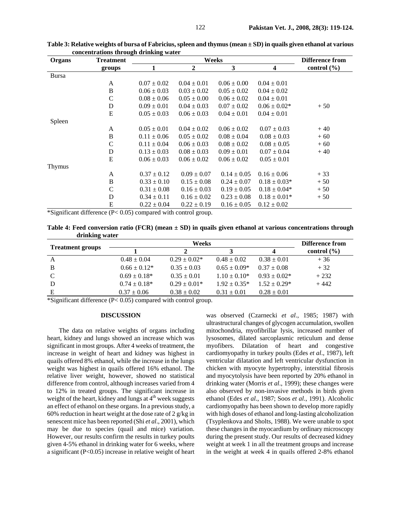| <b>Organs</b> | <b>Treatment</b> |                 | <b>Difference from</b> |                 |                  |                 |
|---------------|------------------|-----------------|------------------------|-----------------|------------------|-----------------|
|               | groups           | 1               | 2                      | 3               | 4                | control $(\% )$ |
| <b>Bursa</b>  |                  |                 |                        |                 |                  |                 |
|               | A                | $0.07 \pm 0.02$ | $0.04 \pm 0.01$        | $0.06 \pm 0.00$ | $0.04 \pm 0.01$  |                 |
|               | B                | $0.06 \pm 0.03$ | $0.03 \pm 0.02$        | $0.05 \pm 0.02$ | $0.04 \pm 0.02$  |                 |
|               | $\mathsf{C}$     | $0.08 \pm 0.06$ | $0.05 \pm 0.00$        | $0.06 \pm 0.02$ | $0.04 \pm 0.01$  |                 |
|               | D                | $0.09 \pm 0.01$ | $0.04 \pm 0.03$        | $0.07 \pm 0.02$ | $0.06 \pm 0.02*$ | $+50$           |
|               | E                | $0.05 \pm 0.03$ | $0.06 \pm 0.03$        | $0.04 \pm 0.01$ | $0.04 \pm 0.01$  |                 |
| Spleen        |                  |                 |                        |                 |                  |                 |
|               | A                | $0.05 \pm 0.01$ | $0.04 \pm 0.02$        | $0.06 \pm 0.02$ | $0.07 \pm 0.03$  | $+40$           |
|               | B                | $0.11 \pm 0.06$ | $0.05 \pm 0.02$        | $0.08 \pm 0.04$ | $0.08 \pm 0.03$  | $+60$           |
|               | $\mathbf C$      | $0.11 \pm 0.04$ | $0.06 \pm 0.03$        | $0.08 \pm 0.02$ | $0.08 \pm 0.05$  | $+60$           |
|               | D                | $0.13 \pm 0.03$ | $0.08 \pm 0.03$        | $0.09 \pm 0.01$ | $0.07 \pm 0.04$  | $+40$           |
|               | E                | $0.06 \pm 0.03$ | $0.06 \pm 0.02$        | $0.06 \pm 0.02$ | $0.05 \pm 0.01$  |                 |
| Thymus        |                  |                 |                        |                 |                  |                 |
|               | A                | $0.37 \pm 0.12$ | $0.09 \pm 0.07$        | $0.14 \pm 0.05$ | $0.16 \pm 0.06$  | $+33$           |
|               | $\, {\bf B}$     | $0.33 \pm 0.10$ | $0.15 \pm 0.08$        | $0.24 \pm 0.07$ | $0.18 \pm 0.03*$ | $+50$           |
|               | $\mathsf{C}$     | $0.31 \pm 0.08$ | $0.16 \pm 0.03$        | $0.19 \pm 0.05$ | $0.18 \pm 0.04*$ | $+50$           |
|               | D                | $0.34 \pm 0.11$ | $0.16 \pm 0.02$        | $0.23 \pm 0.08$ | $0.18 \pm 0.01*$ | $+50$           |
|               | E                | $0.22 \pm 0.04$ | $0.22 \pm 0.19$        | $0.16 \pm 0.05$ | $0.12 \pm 0.02$  |                 |

**Table 3: Relative weights of bursa of Fabricius, spleen and thymus (mean ± SD) in quails given ethanol at various concentrations through drinking water** 

\*Significant difference (P< 0.05) compared with control group.

**Table 4: Feed conversion ratio (FCR) (mean ± SD) in quails given ethanol at various concentrations through drinking water** 

|                         |                   | Difference from  |                   |                  |                 |
|-------------------------|-------------------|------------------|-------------------|------------------|-----------------|
| <b>Treatment groups</b> |                   |                  |                   |                  | control $(\% )$ |
| A                       | $0.48 \pm 0.04$   | $0.29 \pm 0.02*$ | $0.48 \pm 0.02$   | $0.38 \pm 0.01$  | $+36$           |
| B                       | $0.66 \pm 0.12*$  | $0.35 \pm 0.03$  | $0.65 \pm 0.09*$  | $0.37 \pm 0.08$  | $+32$           |
| C                       | $0.69 \pm 0.18^*$ | $0.35 \pm 0.01$  | $1.10 \pm 0.10^*$ | $0.93 + 0.02*$   | $+232$          |
| D                       | $0.74 \pm 0.18^*$ | $0.29 \pm 0.01*$ | $1.92 \pm 0.35^*$ | $1.52 \pm 0.29*$ | $+442$          |
| E                       | $0.37 \pm 0.06$   | $0.38 \pm 0.02$  | $0.31 \pm 0.01$   | $0.28 \pm 0.01$  |                 |

\*Significant difference (P< 0.05) compared with control group.

#### **DISCUSSION**

 The data on relative weights of organs including heart, kidney and lungs showed an increase which was significant in most groups. After 4 weeks of treatment, the increase in weight of heart and kidney was highest in quails offered 8% ethanol, while the increase in the lungs weight was highest in quails offered 16% ethanol. The relative liver weight, however, showed no statistical difference from control, although increases varied from 4 to 12% in treated groups. The significant increase in weight of the heart, kidney and lungs at  $4<sup>th</sup>$  week suggests an effect of ethanol on these organs. In a previous study, a 60% reduction in heart weight at the dose rate of 2 g/kg in senescent mice has been reported (Shi *et al*., 2001), which may be due to species (quail and mice) variation. However, our results confirm the results in turkey poults given 4-5% ethanol in drinking water for 6 weeks, where a significant (P<0.05) increase in relative weight of heart was observed (Czarnecki *et al*., 1985; 1987) with ultrastructural changes of glycogen accumulation, swollen mitochondria, myofibrillar lysis, increased number of lysosomes, dilated sarcoplasmic reticulum and dense myofibers. Dilatation of heart and congestive cardiomyopathy in turkey poults (Edes *et al*., 1987), left ventricular dilatation and left ventricular dysfunction in chicken with myocyte hypertrophy, interstitial fibrosis and myocytolysis have been reported by 20% ethanol in drinking water (Morris *et al*., 1999); these changes were also observed by non-invasive methods in birds given ethanol (Edes *et al*., 1987; Soos *et al*., 1991). Alcoholic cardiomyopathy has been shown to develop more rapidly with high doses of ethanol and long-lasting alcoholization (Tsyplenkova and Sholts, 1988). We were unable to spot these changes in the myocardium by ordinary microscopy during the present study. Our results of decreased kidney weight at week 1 in all the treatment groups and increase in the weight at week 4 in quails offered 2-8% ethanol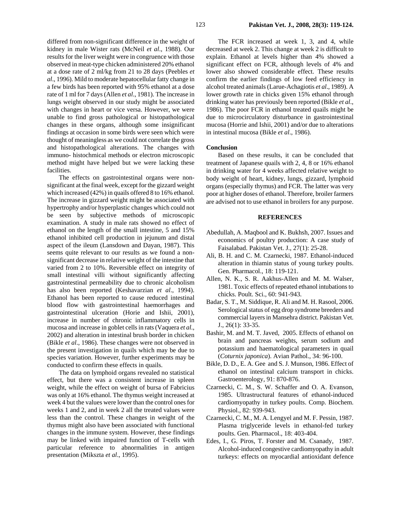differed from non-significant difference in the weight of kidney in male Wister rats (McNeil *et al*., 1988). Our results for the liver weight were in congruence with those observed in meat-type chicken administered 20% ethanol at a dose rate of 2 ml/kg from 21 to 28 days (Peebles *et al*., 1996). Mild to moderate hepatocellular fatty change in a few birds has been reported with 95% ethanol at a dose rate of 1 ml for 7 days (Allen *et al*., 1981). The increase in lungs weight observed in our study might be associated with changes in heart or vice versa. However, we were unable to find gross pathological or histopathological changes in these organs, although some insignificant findings at occasion in some birds were seen which were thought of meaningless as we could not correlate the gross and histopathological alterations. The changes with immuno- histochmical methods or electron microscopic method might have helped but we were lacking these facilities.

The effects on gastrointestinal organs were nonsignificant at the final week, except for the gizzard weight which increased (42%) in quails offered 8 to 16% ethanol. The increase in gizzard weight might be associated with hypertrophy and/or hyperplastic changes which could not be seen by subjective methods of microscopic examination. A study in male rats showed no effect of ethanol on the length of the small intestine, 5 and 15% ethanol inhibited cell production in jejunum and distal aspect of the ileum (Lansdown and Dayan, 1987). This seems quite relevant to our results as we found a nonsignificant decrease in relative weight of the intestine that varied from 2 to 10%. Reversible effect on integrity of small intestinal villi without significantly affecting gastrointestinal permeability due to chronic alcoholism has also been reported (Keshavarzian *et al*., 1994). Ethanol has been reported to cause reduced intestinal blood flow with gastrointestinal haemorrhages and gastrointestinal ulceration (Horie and Ishii, 2001), increase in number of chronic inflammatory cells in mucosa and increase in goblet cells in rats (Vaquera *et al*., 2002) and alteration in intestinal brush border in chicken (Bikle *et al*., 1986). These changes were not observed in the present investigation in quails which may be due to species variation. However, further experiments may be conducted to confirm these effects in quails.

The data on lymphoid organs revealed no statistical effect, but there was a consistent increase in spleen weight, while the effect on weight of bursa of Fabricius was only at 16% ethanol. The thymus weight increased at week 4 but the values were lower than the control ones for weeks 1 and 2, and in week 2 all the treated values were less than the control. These changes in weight of the thymus might also have been associated with functional changes in the immune system. However, these findings may be linked with impaired function of T-cells with particular reference to abnormalities in antigen presentation (Mikszta *et al*., 1995).

The FCR increased at week 1, 3, and 4, while decreased at week 2. This change at week 2 is difficult to explain. Ethanol at levels higher than 4% showed a significant effect on FCR, although levels of 4% and lower also showed considerable effect. These results confirm the earlier findings of low feed efficiency in alcohol treated animals (Larue-Achagiotis *et al*., 1989). A lower growth rate in chicks given 15% ethanol through drinking water has previously been reported (Bikle *et al*., 1986). The poor FCR in ethanol treated quails might be due to microcirculatory disturbance in gastrointestinal mucosa (Horrie and Ishii, 2001) and/or due to alterations in intestinal mucosa (Bikle *et al*., 1986).

## **Conclusion**

Based on these results, it can be concluded that treatment of Japanese quails with 2, 4, 8 or 16% ethanol in drinking water for 4 weeks affected relative weight to body weight of heart, kidney, lungs, gizzard, lymphoid organs (especially thymus) and FCR. The latter was very poor at higher doses of ethanol. Therefore, broiler farmers are advised not to use ethanol in broilers for any purpose.

#### **REFERENCES**

- Abedullah, A. Maqbool and K. Bukhsh, 2007. Issues and economics of poultry production: A case study of Faisalabad. Pakistan Vet. J., 27(1): 25-28.
- Ali, B. H. and C. M. Czarnecki, 1987. Ethanol-induced alteration in thiamin status of young turkey poults. Gen. Pharmacol., 18: 119-121.
- Allen, N. K., S. R. Aakhus-Allen and M. M. Walser, 1981. Toxic effects of repeated ethanol intubations to chicks. Poult. Sci., 60: 941-943.
- Badar, S. T., M. Siddique, R. Ali and M. H. Rasool, 2006. Serological status of egg drop syndrome breeders and commercial layers in Mansehra district. Pakistan Vet. J., 26(1): 33-35.
- Bashir, M. and M. T. Javed, 2005. Effects of ethanol on brain and pancreas weights, serum sodium and potassium and haematological parameters in quail (*Coturnix japonica*). Avian Pathol., 34: 96-100.
- Bikle, D. D., E. A. Gee and S. J. Munson, 1986. Effect of ethanol on intestinal calcium transport in chicks. Gastroenterology, 91: 870-876.
- Czarnecki, C. M., S. W. Schaffer and O. A. Evanson, 1985. Ultrastructural features of ethanol-induced cardiomyopathy in turkey poults. Comp. Biochem. Physiol., 82: 939-943.
- Czarnecki, C. M., M. A. Lengyel and M. F. Pessin, 1987. Plasma triglyceride levels in ethanol-fed turkey poults. Gen. Pharmacol., 18: 403-404.
- Edes, I., G. Piros, T. Forster and M. Csanady, 1987. Alcohol-induced congestive cardiomyopathy in adult turkeys: effects on myocardial antioxidant defence